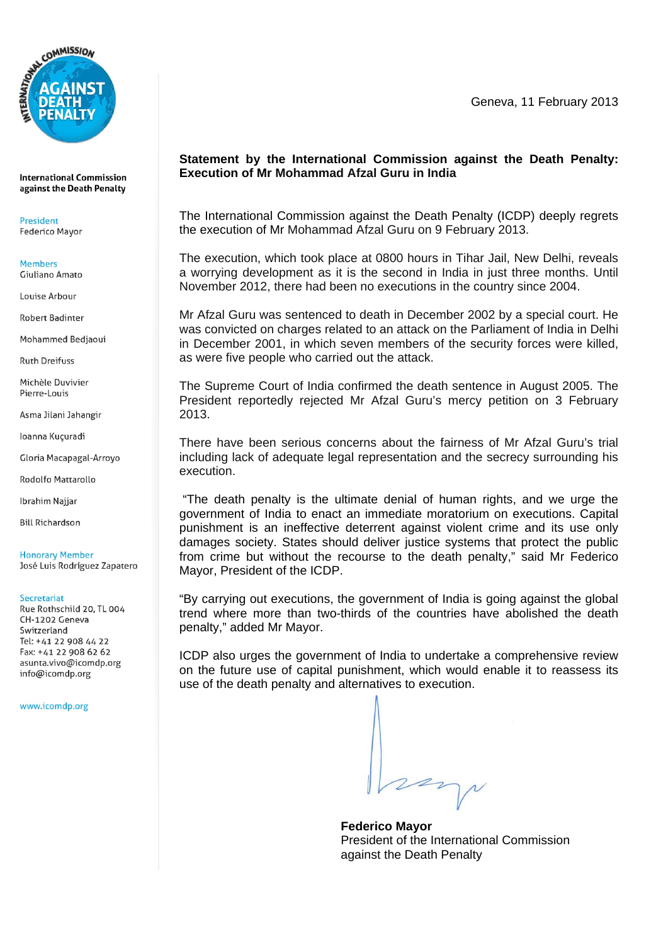

**International Commission** against the Death Penalty

President **Federico Mayor** 

**Members** Giuliano Amato

Louise Arbour

**Robert Badinter** 

Mohammed Bedjaoui

**Ruth Dreifuss** 

Michèle Duvivier Pierre-Louis

Asma Jilani Jahangir

loanna Kuçuradi

Gloria Macapagal-Arroyo

**Rodolfo Mattarollo** 

**Ibrahim Najjar** 

**Bill Richardson** 

**Honorary Member** José Luis Rodríguez Zapatero

## Secretariat

Rue Rothschild 20, TL 004 CH-1202 Geneva Switzerland Tel: +41 22 908 44 22 Fax: +41 22 908 62 62 asunta.vivo@icomdp.org info@icomdp.org

www.icomdp.org

Geneva, 11 February 2013

## **Statement by the International Commission against the Death Penalty: Execution of Mr Mohammad Afzal Guru in India**

The International Commission against the Death Penalty (ICDP) deeply regrets the execution of Mr Mohammad Afzal Guru on 9 February 2013.

The execution, which took place at 0800 hours in Tihar Jail, New Delhi, reveals a worrying development as it is the second in India in just three months. Until November 2012, there had been no executions in the country since 2004.

Mr Afzal Guru was sentenced to death in December 2002 by a special court. He was convicted on charges related to an attack on the Parliament of India in Delhi in December 2001, in which seven members of the security forces were killed, as were five people who carried out the attack.

The Supreme Court of India confirmed the death sentence in August 2005. The President reportedly rejected Mr Afzal Guru's mercy petition on 3 February 2013.

There have been serious concerns about the fairness of Mr Afzal Guru's trial including lack of adequate legal representation and the secrecy surrounding his execution.

 "The death penalty is the ultimate denial of human rights, and we urge the government of India to enact an immediate moratorium on executions. Capital punishment is an ineffective deterrent against violent crime and its use only damages society. States should deliver justice systems that protect the public from crime but without the recourse to the death penalty," said Mr Federico Mayor, President of the ICDP.

"By carrying out executions, the government of India is going against the global trend where more than two-thirds of the countries have abolished the death penalty," added Mr Mayor.

ICDP also urges the government of India to undertake a comprehensive review on the future use of capital punishment, which would enable it to reassess its use of the death penalty and alternatives to execution.

very

**Federico Mayor**  President of the International Commission against the Death Penalty